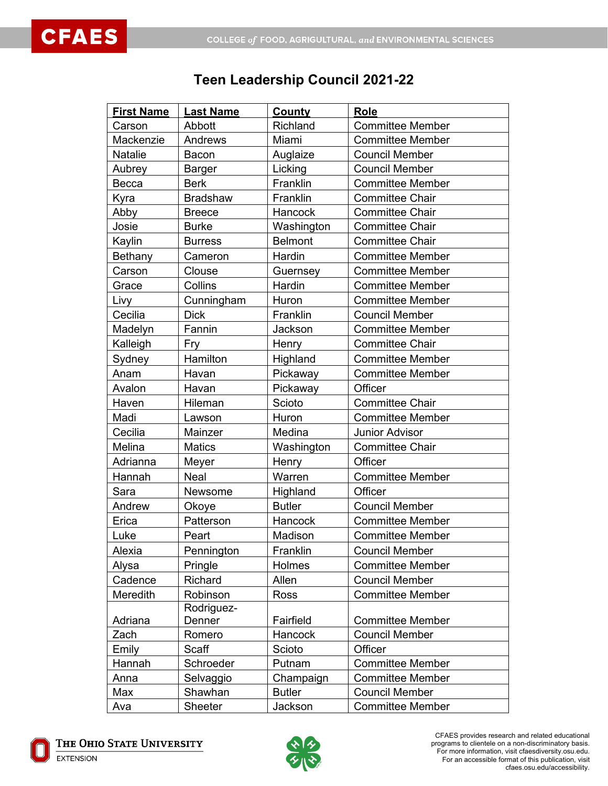## **Teen Leadership Council 2021-22**

| <b>First Name</b> | <b>Last Name</b> | <b>County</b>  | Role                    |
|-------------------|------------------|----------------|-------------------------|
| Carson            | Abbott           | Richland       | <b>Committee Member</b> |
| Mackenzie         | Andrews          | Miami          | <b>Committee Member</b> |
| Natalie           | Bacon            | Auglaize       | <b>Council Member</b>   |
| Aubrey            | Barger           | Licking        | <b>Council Member</b>   |
| Becca             | <b>Berk</b>      | Franklin       | <b>Committee Member</b> |
| Kyra              | <b>Bradshaw</b>  | Franklin       | <b>Committee Chair</b>  |
| Abby              | <b>Breece</b>    | Hancock        | <b>Committee Chair</b>  |
| Josie             | <b>Burke</b>     | Washington     | <b>Committee Chair</b>  |
| Kaylin            | <b>Burress</b>   | <b>Belmont</b> | <b>Committee Chair</b>  |
| Bethany           | Cameron          | Hardin         | <b>Committee Member</b> |
| Carson            | Clouse           | Guernsey       | <b>Committee Member</b> |
| Grace             | Collins          | Hardin         | <b>Committee Member</b> |
| Livy              | Cunningham       | Huron          | <b>Committee Member</b> |
| Cecilia           | <b>Dick</b>      | Franklin       | <b>Council Member</b>   |
| Madelyn           | Fannin           | Jackson        | <b>Committee Member</b> |
| Kalleigh          | Fry              | Henry          | <b>Committee Chair</b>  |
| Sydney            | Hamilton         | Highland       | <b>Committee Member</b> |
| Anam              | Havan            | Pickaway       | <b>Committee Member</b> |
| Avalon            | Havan            | Pickaway       | Officer                 |
| Haven             | Hileman          | Scioto         | <b>Committee Chair</b>  |
| Madi              | Lawson           | Huron          | <b>Committee Member</b> |
| Cecilia           | Mainzer          | Medina         | <b>Junior Advisor</b>   |
| Melina            | <b>Matics</b>    | Washington     | <b>Committee Chair</b>  |
| Adrianna          | Meyer            | Henry          | Officer                 |
| Hannah            | Neal             | Warren         | <b>Committee Member</b> |
| Sara              | Newsome          | Highland       | Officer                 |
| Andrew            | Okoye            | <b>Butler</b>  | <b>Council Member</b>   |
| Erica             | Patterson        | Hancock        | <b>Committee Member</b> |
| Luke              | Peart            | Madison        | <b>Committee Member</b> |
| Alexia            | Pennington       | Franklin       | <b>Council Member</b>   |
| Alysa             | Pringle          | Holmes         | <b>Committee Member</b> |
| Cadence           | Richard          | Allen          | <b>Council Member</b>   |
| Meredith          | Robinson         | <b>Ross</b>    | <b>Committee Member</b> |
|                   | Rodriguez-       |                |                         |
| Adriana           | Denner           | Fairfield      | <b>Committee Member</b> |
| Zach              | Romero           | Hancock        | <b>Council Member</b>   |
| Emily             | Scaff            | Scioto         | Officer                 |
| Hannah            | Schroeder        | Putnam         | <b>Committee Member</b> |
| Anna              | Selvaggio        | Champaign      | <b>Committee Member</b> |
| Max               | Shawhan          | <b>Butler</b>  | <b>Council Member</b>   |
| Ava               | <b>Sheeter</b>   | Jackson        | <b>Committee Member</b> |